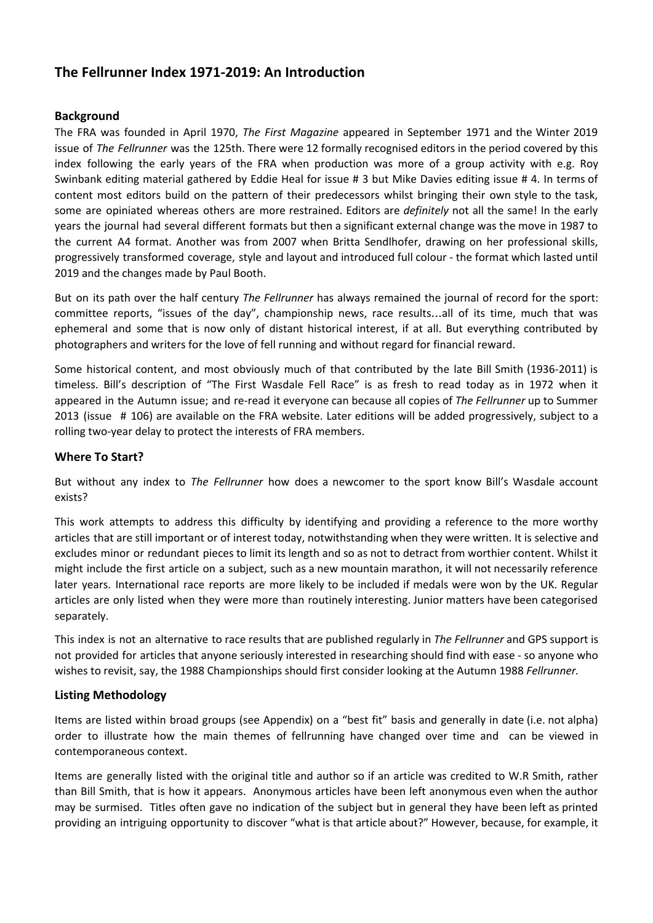# **The Fellrunner Index 1971-2019: An Introduction**

## **Background**

The FRA was founded in April 1970, *The First Magazine* appeared in September 1971 and the Winter 2019 issue of *The Fellrunner* was the 125th. There were 12 formally recognised editors in the period covered by this index following the early years of the FRA when production was more of a group activity with e.g. Roy Swinbank editing material gathered by Eddie Heal for issue # 3 but Mike Davies editing issue # 4. In terms of content most editors build on the pattern of their predecessors whilst bringing their own style to the task, some are opiniated whereas others are more restrained. Editors are *definitely* not all the same! In the early years the journal had several different formats but then a significant external change was the move in 1987 to the current A4 format. Another was from 2007 when Britta Sendlhofer, drawing on her professional skills, progressively transformed coverage, style and layout and introduced full colour - the format which lasted until 2019 and the changes made by Paul Booth.

But on its path over the half century *The Fellrunner* has always remained the journal of record for the sport: committee reports, "issues of the day", championship news, race results…all of its time, much that was ephemeral and some that is now only of distant historical interest, if at all. But everything contributed by photographers and writers for the love of fell running and without regard for financial reward.

Some historical content, and most obviously much of that contributed by the late Bill Smith (1936-2011) is timeless. Bill's description of "The First Wasdale Fell Race" is as fresh to read today as in 1972 when it appeared in the Autumn issue; and re-read it everyone can because all copies of *The Fellrunner* up to Summer 2013 (issue # 106) are available on the FRA website. Later editions will be added progressively, subject to a rolling two-year delay to protect the interests of FRA members.

## **Where To Start?**

But without any index to *The Fellrunner* how does a newcomer to the sport know Bill's Wasdale account exists?

This work attempts to address this difficulty by identifying and providing a reference to the more worthy articles that are still important or of interest today, notwithstanding when they were written. It is selective and excludes minor or redundant pieces to limit its length and so as not to detract from worthier content. Whilst it might include the first article on a subject, such as a new mountain marathon, it will not necessarily reference later years. International race reports are more likely to be included if medals were won by the UK. Regular articles are only listed when they were more than routinely interesting. Junior matters have been categorised separately.

This index is not an alternative to race results that are published regularly in *The Fellrunner* and GPS support is not provided for articles that anyone seriously interested in researching should find with ease - so anyone who wishes to revisit, say, the 1988 Championships should first consider looking at the Autumn 1988 *Fellrunner.*

## **Listing Methodology**

Items are listed within broad groups (see Appendix) on a "best fit" basis and generally in date (i.e. not alpha) order to illustrate how the main themes of fellrunning have changed over time and can be viewed in contemporaneous context.

Items are generally listed with the original title and author so if an article was credited to W.R Smith, rather than Bill Smith, that is how it appears. Anonymous articles have been left anonymous even when the author may be surmised. Titles often gave no indication of the subject but in general they have been left as printed providing an intriguing opportunity to discover "what is that article about?" However, because, for example, it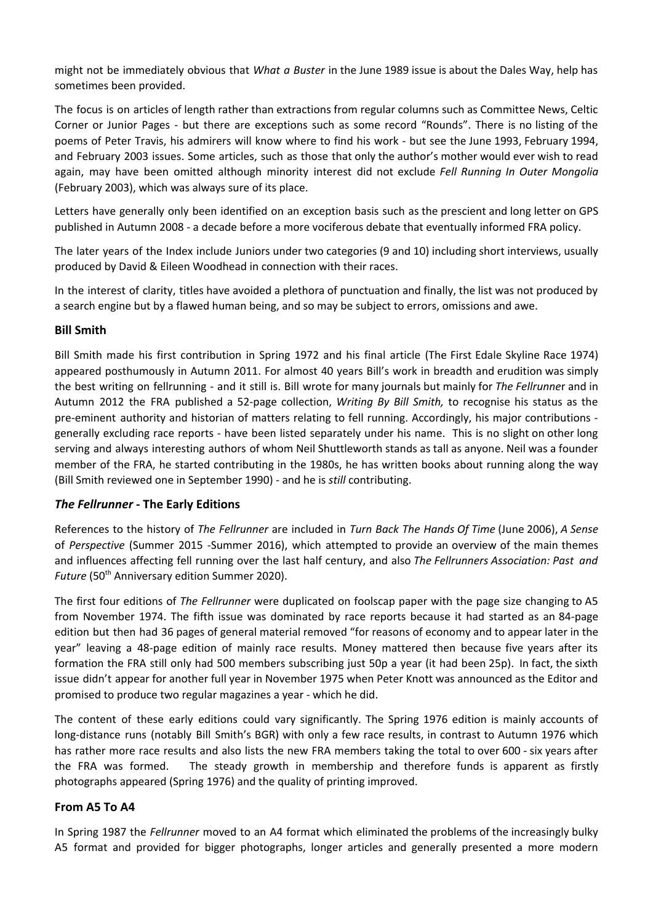might not be immediately obvious that *What a Buster* in the June 1989 issue is about the Dales Way, help has sometimes been provided.

The focus is on articles of length rather than extractions from regular columns such as Committee News, Celtic Corner or Junior Pages - but there are exceptions such as some record "Rounds". There is no listing of the poems of Peter Travis, his admirers will know where to find his work - but see the June 1993, February 1994, and February 2003 issues. Some articles, such as those that only the author's mother would ever wish to read again, may have been omitted although minority interest did not exclude *Fell Running In Outer Mongolia* (February 2003), which was always sure of its place.

Letters have generally only been identified on an exception basis such as the prescient and long letter on GPS published in Autumn 2008 - a decade before a more vociferous debate that eventually informed FRA policy.

The later years of the Index include Juniors under two categories (9 and 10) including short interviews, usually produced by David & Eileen Woodhead in connection with their races.

In the interest of clarity, titles have avoided a plethora of punctuation and finally, the list was not produced by a search engine but by a flawed human being, and so may be subject to errors, omissions and awe.

#### **Bill Smith**

Bill Smith made his first contribution in Spring 1972 and his final article (The First Edale Skyline Race 1974) appeared posthumously in Autumn 2011. For almost 40 years Bill's work in breadth and erudition was simply the best writing on fellrunning - and it still is. Bill wrote for many journals but mainly for *The Fellrunne*r and in Autumn 2012 the FRA published a 52-page collection, *Writing By Bill Smith,* to recognise his status as the pre-eminent authority and historian of matters relating to fell running. Accordingly, his major contributions generally excluding race reports - have been listed separately under his name. This is no slight on other long serving and always interesting authors of whom Neil Shuttleworth stands as tall as anyone. Neil was a founder member of the FRA, he started contributing in the 1980s, he has written books about running along the way (Bill Smith reviewed one in September 1990) - and he is *still* contributing.

## *The Fellrunner* **- The Early Editions**

References to the history of *The Fellrunner* are included in *Turn Back The Hands Of Time* (June 2006), *A Sense* of *Perspective* (Summer 2015 -Summer 2016), which attempted to provide an overview of the main themes and influences affecting fell running over the last half century, and also *The Fellrunners Association: Past and* Future (50<sup>th</sup> Anniversary edition Summer 2020).

The first four editions of *The Fellrunner* were duplicated on foolscap paper with the page size changing to A5 from November 1974. The fifth issue was dominated by race reports because it had started as an 84-page edition but then had 36 pages of general material removed "for reasons of economy and to appear later in the year" leaving a 48-page edition of mainly race results. Money mattered then because five years after its formation the FRA still only had 500 members subscribing just 50p a year (it had been 25p). In fact, the sixth issue didn't appear for another full year in November 1975 when Peter Knott was announced as the Editor and promised to produce two regular magazines a year - which he did.

The content of these early editions could vary significantly. The Spring 1976 edition is mainly accounts of long-distance runs (notably Bill Smith's BGR) with only a few race results, in contrast to Autumn 1976 which has rather more race results and also lists the new FRA members taking the total to over 600 - six years after the FRA was formed. The steady growth in membership and therefore funds is apparent as firstly photographs appeared (Spring 1976) and the quality of printing improved.

#### **From A5 To A4**

In Spring 1987 the *Fellrunner* moved to an A4 format which eliminated the problems of the increasingly bulky A5 format and provided for bigger photographs, longer articles and generally presented a more modern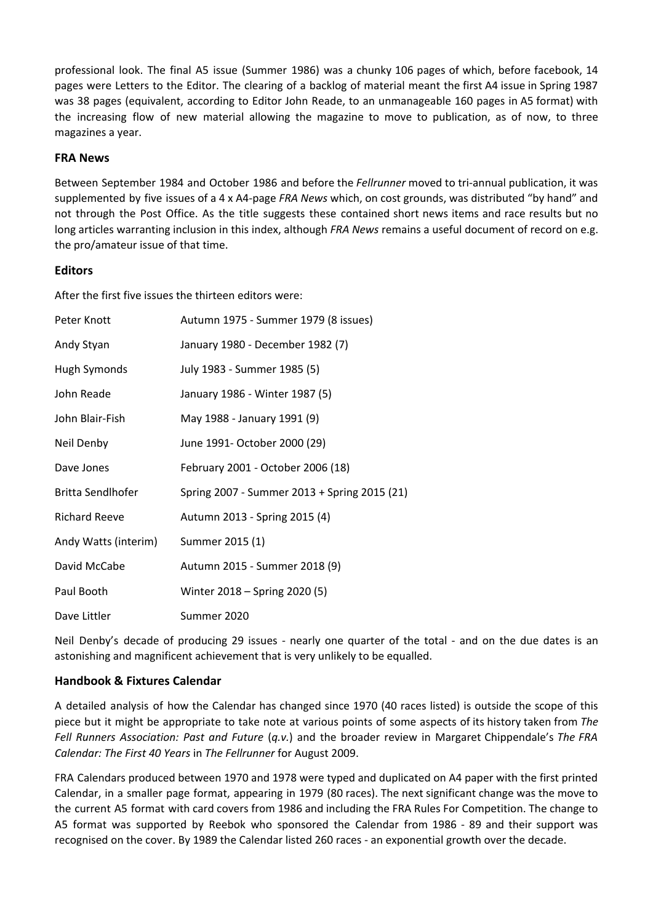professional look. The final A5 issue (Summer 1986) was a chunky 106 pages of which, before facebook, 14 pages were Letters to the Editor. The clearing of a backlog of material meant the first A4 issue in Spring 1987 was 38 pages (equivalent, according to Editor John Reade, to an unmanageable 160 pages in A5 format) with the increasing flow of new material allowing the magazine to move to publication, as of now, to three magazines a year.

## **FRA News**

Between September 1984 and October 1986 and before the *Fellrunner* moved to tri-annual publication, it was supplemented by five issues of a 4 x A4-page *FRA News* which, on cost grounds, was distributed "by hand" and not through the Post Office. As the title suggests these contained short news items and race results but no long articles warranting inclusion in this index, although *FRA News* remains a useful document of record on e.g. the pro/amateur issue of that time.

#### **Editors**

After the first five issues the thirteen editors were:

| Peter Knott              | Autumn 1975 - Summer 1979 (8 issues)         |
|--------------------------|----------------------------------------------|
| Andy Styan               | January 1980 - December 1982 (7)             |
| Hugh Symonds             | July 1983 - Summer 1985 (5)                  |
| John Reade               | January 1986 - Winter 1987 (5)               |
| John Blair-Fish          | May 1988 - January 1991 (9)                  |
| Neil Denby               | June 1991- October 2000 (29)                 |
| Dave Jones               | February 2001 - October 2006 (18)            |
| <b>Britta Sendlhofer</b> | Spring 2007 - Summer 2013 + Spring 2015 (21) |
| <b>Richard Reeve</b>     | Autumn 2013 - Spring 2015 (4)                |
| Andy Watts (interim)     | Summer 2015 (1)                              |
| David McCabe             | Autumn 2015 - Summer 2018 (9)                |
| Paul Booth               | Winter 2018 - Spring 2020 (5)                |
| Dave Littler             | Summer 2020                                  |

Neil Denby's decade of producing 29 issues - nearly one quarter of the total - and on the due dates is an astonishing and magnificent achievement that is very unlikely to be equalled.

## **Handbook & Fixtures Calendar**

A detailed analysis of how the Calendar has changed since 1970 (40 races listed) is outside the scope of this piece but it might be appropriate to take note at various points of some aspects of its history taken from *The Fell Runners Association: Past and Future* (*q.v.*) and the broader review in Margaret Chippendale's *The FRA Calendar: The First 40 Years* in *The Fellrunner* for August 2009.

FRA Calendars produced between 1970 and 1978 were typed and duplicated on A4 paper with the first printed Calendar, in a smaller page format, appearing in 1979 (80 races). The next significant change was the move to the current A5 format with card covers from 1986 and including the FRA Rules For Competition. The change to A5 format was supported by Reebok who sponsored the Calendar from 1986 - 89 and their support was recognised on the cover. By 1989 the Calendar listed 260 races - an exponential growth over the decade.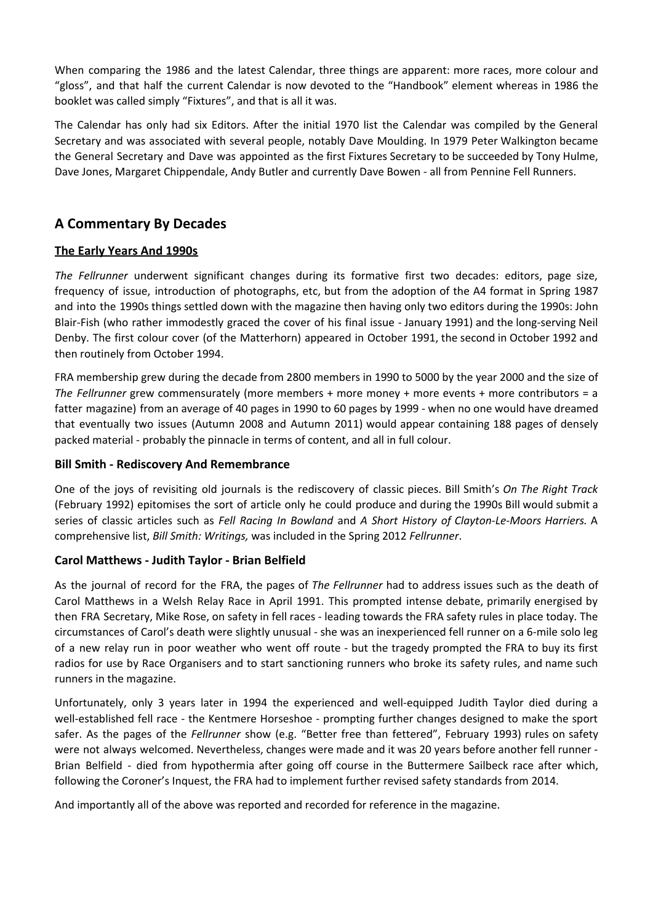When comparing the 1986 and the latest Calendar, three things are apparent: more races, more colour and "gloss", and that half the current Calendar is now devoted to the "Handbook" element whereas in 1986 the booklet was called simply "Fixtures", and that is all it was.

The Calendar has only had six Editors. After the initial 1970 list the Calendar was compiled by the General Secretary and was associated with several people, notably Dave Moulding. In 1979 Peter Walkington became the General Secretary and Dave was appointed as the first Fixtures Secretary to be succeeded by Tony Hulme, Dave Jones, Margaret Chippendale, Andy Butler and currently Dave Bowen - all from Pennine Fell Runners.

# **A Commentary By Decades**

## **The Early Years And 1990s**

*The Fellrunner* underwent significant changes during its formative first two decades: editors, page size, frequency of issue, introduction of photographs, etc, but from the adoption of the A4 format in Spring 1987 and into the 1990s things settled down with the magazine then having only two editors during the 1990s: John Blair-Fish (who rather immodestly graced the cover of his final issue - January 1991) and the long-serving Neil Denby. The first colour cover (of the Matterhorn) appeared in October 1991, the second in October 1992 and then routinely from October 1994.

FRA membership grew during the decade from 2800 members in 1990 to 5000 by the year 2000 and the size of *The Fellrunner* grew commensurately (more members + more money + more events + more contributors = a fatter magazine) from an average of 40 pages in 1990 to 60 pages by 1999 - when no one would have dreamed that eventually two issues (Autumn 2008 and Autumn 2011) would appear containing 188 pages of densely packed material - probably the pinnacle in terms of content, and all in full colour.

## **Bill Smith - Rediscovery And Remembrance**

One of the joys of revisiting old journals is the rediscovery of classic pieces. Bill Smith's *On The Right Track* (February 1992) epitomises the sort of article only he could produce and during the 1990s Bill would submit a series of classic articles such as *Fell Racing In Bowland* and *A Short History of Clayton-Le-Moors Harriers.* A comprehensive list, *Bill Smith: Writings,* was included in the Spring 2012 *Fellrunner*.

## **Carol Matthews - Judith Taylor - Brian Belfield**

As the journal of record for the FRA, the pages of *The Fellrunner* had to address issues such as the death of Carol Matthews in a Welsh Relay Race in April 1991. This prompted intense debate, primarily energised by then FRA Secretary, Mike Rose, on safety in fell races - leading towards the FRA safety rules in place today. The circumstances of Carol's death were slightly unusual - she was an inexperienced fell runner on a 6-mile solo leg of a new relay run in poor weather who went off route - but the tragedy prompted the FRA to buy its first radios for use by Race Organisers and to start sanctioning runners who broke its safety rules, and name such runners in the magazine.

Unfortunately, only 3 years later in 1994 the experienced and well-equipped Judith Taylor died during a well-established fell race - the Kentmere Horseshoe - prompting further changes designed to make the sport safer. As the pages of the *Fellrunner* show (e.g. "Better free than fettered", February 1993) rules on safety were not always welcomed. Nevertheless, changes were made and it was 20 years before another fell runner - Brian Belfield - died from hypothermia after going off course in the Buttermere Sailbeck race after which, following the Coroner's Inquest, the FRA had to implement further revised safety standards from 2014.

And importantly all of the above was reported and recorded for reference in the magazine.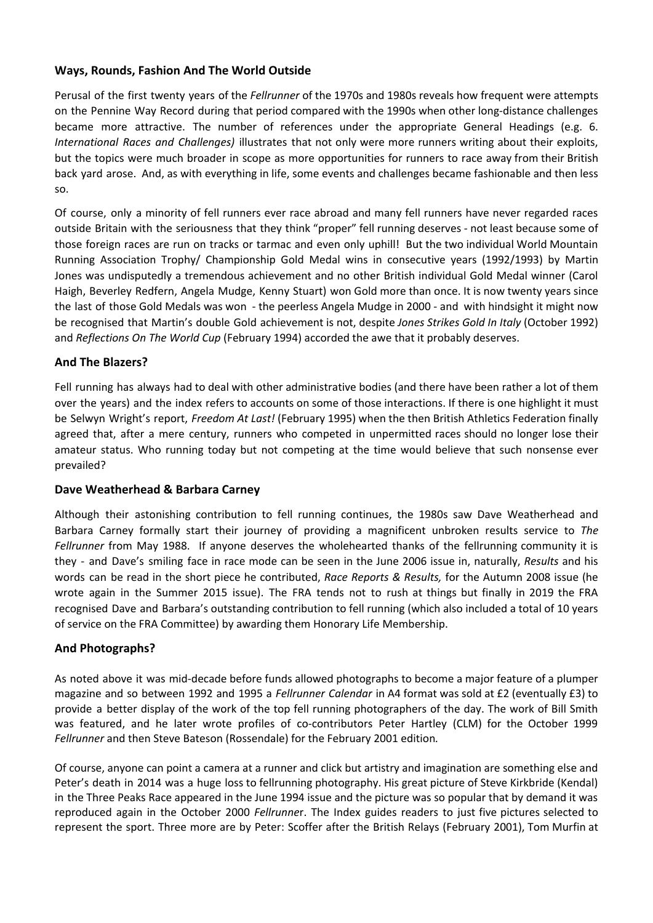## **Ways, Rounds, Fashion And The World Outside**

Perusal of the first twenty years of the *Fellrunner* of the 1970s and 1980s reveals how frequent were attempts on the Pennine Way Record during that period compared with the 1990s when other long-distance challenges became more attractive. The number of references under the appropriate General Headings (e.g. 6. *International Races and Challenges)* illustrates that not only were more runners writing about their exploits, but the topics were much broader in scope as more opportunities for runners to race away from their British back yard arose. And, as with everything in life, some events and challenges became fashionable and then less so.

Of course, only a minority of fell runners ever race abroad and many fell runners have never regarded races outside Britain with the seriousness that they think "proper" fell running deserves - not least because some of those foreign races are run on tracks or tarmac and even only uphill! But the two individual World Mountain Running Association Trophy/ Championship Gold Medal wins in consecutive years (1992/1993) by Martin Jones was undisputedly a tremendous achievement and no other British individual Gold Medal winner (Carol Haigh, Beverley Redfern, Angela Mudge, Kenny Stuart) won Gold more than once. It is now twenty years since the last of those Gold Medals was won - the peerless Angela Mudge in 2000 - and with hindsight it might now be recognised that Martin's double Gold achievement is not, despite *Jones Strikes Gold In Italy* (October 1992) and *Reflections On The World Cup* (February 1994) accorded the awe that it probably deserves.

## **And The Blazers?**

Fell running has always had to deal with other administrative bodies (and there have been rather a lot of them over the years) and the index refers to accounts on some of those interactions. If there is one highlight it must be Selwyn Wright's report, *Freedom At Last!* (February 1995) when the then British Athletics Federation finally agreed that, after a mere century, runners who competed in unpermitted races should no longer lose their amateur status. Who running today but not competing at the time would believe that such nonsense ever prevailed?

## **Dave Weatherhead & Barbara Carney**

Although their astonishing contribution to fell running continues, the 1980s saw Dave Weatherhead and Barbara Carney formally start their journey of providing a magnificent unbroken results service to *The Fellrunner* from May 1988. If anyone deserves the wholehearted thanks of the fellrunning community it is they - and Dave's smiling face in race mode can be seen in the June 2006 issue in, naturally, *Results* and his words can be read in the short piece he contributed, *Race Reports & Results,* for the Autumn 2008 issue (he wrote again in the Summer 2015 issue). The FRA tends not to rush at things but finally in 2019 the FRA recognised Dave and Barbara's outstanding contribution to fell running (which also included a total of 10 years of service on the FRA Committee) by awarding them Honorary Life Membership.

## **And Photographs?**

As noted above it was mid-decade before funds allowed photographs to become a major feature of a plumper magazine and so between 1992 and 1995 a *Fellrunner Calendar* in A4 format was sold at £2 (eventually £3) to provide a better display of the work of the top fell running photographers of the day. The work of Bill Smith was featured, and he later wrote profiles of co-contributors Peter Hartley (CLM) for the October 1999 *Fellrunner* and then Steve Bateson (Rossendale) for the February 2001 edition*.*

Of course, anyone can point a camera at a runner and click but artistry and imagination are something else and Peter's death in 2014 was a huge loss to fellrunning photography. His great picture of Steve Kirkbride (Kendal) in the Three Peaks Race appeared in the June 1994 issue and the picture was so popular that by demand it was reproduced again in the October 2000 *Fellrunne*r. The Index guides readers to just five pictures selected to represent the sport. Three more are by Peter: Scoffer after the British Relays (February 2001), Tom Murfin at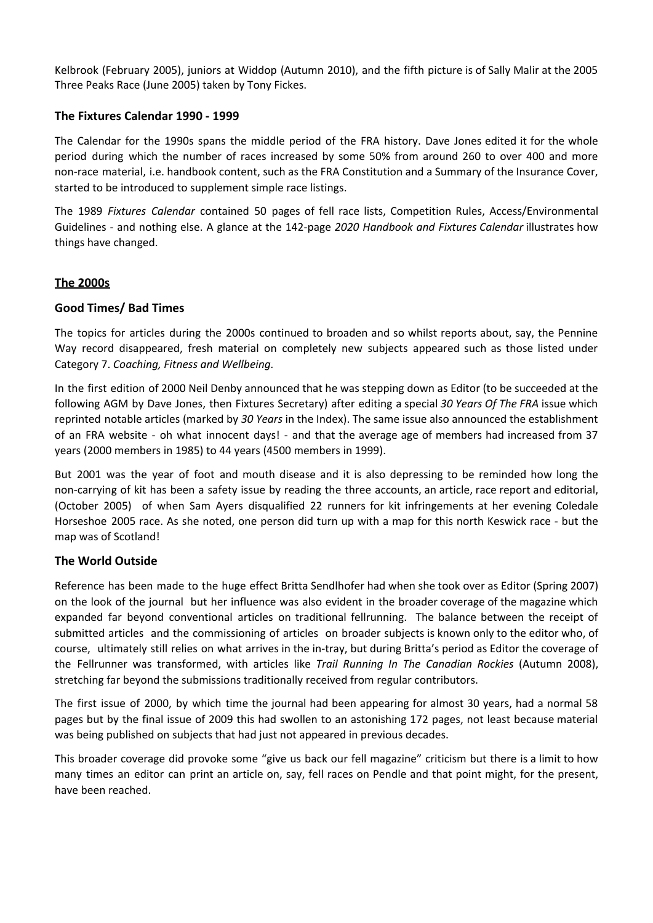Kelbrook (February 2005), juniors at Widdop (Autumn 2010), and the fifth picture is of Sally Malir at the 2005 Three Peaks Race (June 2005) taken by Tony Fickes.

#### **The Fixtures Calendar 1990 - 1999**

The Calendar for the 1990s spans the middle period of the FRA history. Dave Jones edited it for the whole period during which the number of races increased by some 50% from around 260 to over 400 and more non-race material, i.e. handbook content, such as the FRA Constitution and a Summary of the Insurance Cover, started to be introduced to supplement simple race listings.

The 1989 *Fixtures Calendar* contained 50 pages of fell race lists, Competition Rules, Access/Environmental Guidelines - and nothing else. A glance at the 142-page *2020 Handbook and Fixtures Calendar* illustrates how things have changed.

#### **The 2000s**

#### **Good Times/ Bad Times**

The topics for articles during the 2000s continued to broaden and so whilst reports about, say, the Pennine Way record disappeared, fresh material on completely new subjects appeared such as those listed under Category 7. *Coaching, Fitness and Wellbeing.*

In the first edition of 2000 Neil Denby announced that he was stepping down as Editor (to be succeeded at the following AGM by Dave Jones, then Fixtures Secretary) after editing a special *30 Years Of The FRA* issue which reprinted notable articles (marked by *30 Years* in the Index). The same issue also announced the establishment of an FRA website - oh what innocent days! - and that the average age of members had increased from 37 years (2000 members in 1985) to 44 years (4500 members in 1999).

But 2001 was the year of foot and mouth disease and it is also depressing to be reminded how long the non-carrying of kit has been a safety issue by reading the three accounts, an article, race report and editorial, (October 2005) of when Sam Ayers disqualified 22 runners for kit infringements at her evening Coledale Horseshoe 2005 race. As she noted, one person did turn up with a map for this north Keswick race - but the map was of Scotland!

## **The World Outside**

Reference has been made to the huge effect Britta Sendlhofer had when she took over as Editor (Spring 2007) on the look of the journal but her influence was also evident in the broader coverage of the magazine which expanded far beyond conventional articles on traditional fellrunning. The balance between the receipt of submitted articles and the commissioning of articles on broader subjects is known only to the editor who, of course, ultimately still relies on what arrives in the in-tray, but during Britta's period as Editor the coverage of the Fellrunner was transformed, with articles like *Trail Running In The Canadian Rockies* (Autumn 2008), stretching far beyond the submissions traditionally received from regular contributors.

The first issue of 2000, by which time the journal had been appearing for almost 30 years, had a normal 58 pages but by the final issue of 2009 this had swollen to an astonishing 172 pages, not least because material was being published on subjects that had just not appeared in previous decades.

This broader coverage did provoke some "give us back our fell magazine" criticism but there is a limit to how many times an editor can print an article on, say, fell races on Pendle and that point might, for the present, have been reached.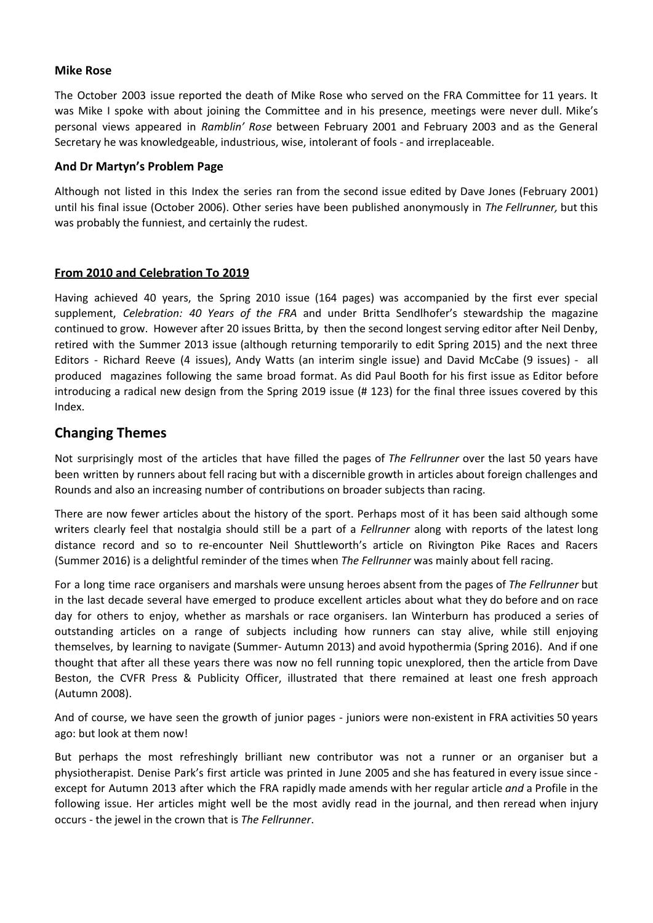#### **Mike Rose**

The October 2003 issue reported the death of Mike Rose who served on the FRA Committee for 11 years. It was Mike I spoke with about joining the Committee and in his presence, meetings were never dull. Mike's personal views appeared in *Ramblin' Rose* between February 2001 and February 2003 and as the General Secretary he was knowledgeable, industrious, wise, intolerant of fools - and irreplaceable.

#### **And Dr Martyn's Problem Page**

Although not listed in this Index the series ran from the second issue edited by Dave Jones (February 2001) until his final issue (October 2006). Other series have been published anonymously in *The Fellrunner,* but this was probably the funniest, and certainly the rudest.

## **From 2010 and Celebration To 2019**

Having achieved 40 years, the Spring 2010 issue (164 pages) was accompanied by the first ever special supplement, *Celebration: 40 Years of the FRA* and under Britta Sendlhofer's stewardship the magazine continued to grow. However after 20 issues Britta, by then the second longest serving editor after Neil Denby, retired with the Summer 2013 issue (although returning temporarily to edit Spring 2015) and the next three Editors - Richard Reeve (4 issues), Andy Watts (an interim single issue) and David McCabe (9 issues) - all produced magazines following the same broad format. As did Paul Booth for his first issue as Editor before introducing a radical new design from the Spring 2019 issue (# 123) for the final three issues covered by this Index.

## **Changing Themes**

Not surprisingly most of the articles that have filled the pages of *The Fellrunner* over the last 50 years have been written by runners about fell racing but with a discernible growth in articles about foreign challenges and Rounds and also an increasing number of contributions on broader subjects than racing.

There are now fewer articles about the history of the sport. Perhaps most of it has been said although some writers clearly feel that nostalgia should still be a part of a *Fellrunner* along with reports of the latest long distance record and so to re-encounter Neil Shuttleworth's article on Rivington Pike Races and Racers (Summer 2016) is a delightful reminder of the times when *The Fellrunner* was mainly about fell racing.

For a long time race organisers and marshals were unsung heroes absent from the pages of *The Fellrunner* but in the last decade several have emerged to produce excellent articles about what they do before and on race day for others to enjoy, whether as marshals or race organisers. Ian Winterburn has produced a series of outstanding articles on a range of subjects including how runners can stay alive, while still enjoying themselves, by learning to navigate (Summer- Autumn 2013) and avoid hypothermia (Spring 2016). And if one thought that after all these years there was now no fell running topic unexplored, then the article from Dave Beston, the CVFR Press & Publicity Officer, illustrated that there remained at least one fresh approach (Autumn 2008).

And of course, we have seen the growth of junior pages - juniors were non-existent in FRA activities 50 years ago: but look at them now!

But perhaps the most refreshingly brilliant new contributor was not a runner or an organiser but a physiotherapist. Denise Park's first article was printed in June 2005 and she has featured in every issue since except for Autumn 2013 after which the FRA rapidly made amends with her regular article *and* a Profile in the following issue. Her articles might well be the most avidly read in the journal, and then reread when injury occurs - the jewel in the crown that is *The Fellrunner*.